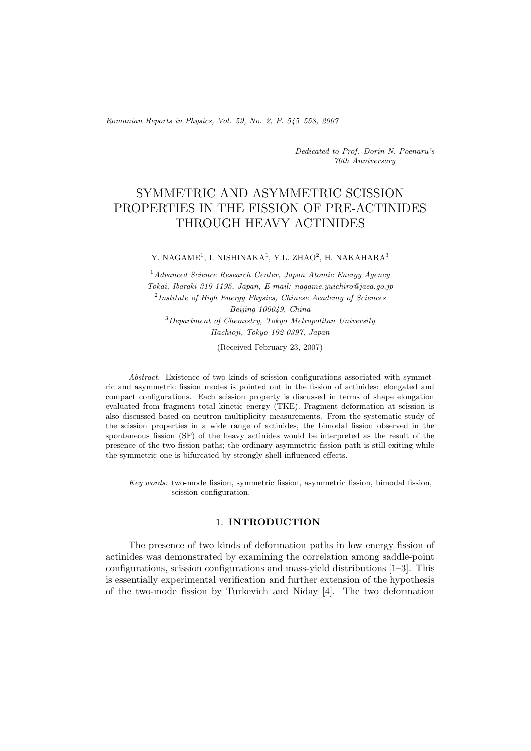*Romanian Reports in Physics, Vol. 59, No. 2, P. 545–558, 2007*

*Dedicated to Prof. Dorin N. Poenaru's 70th Anniversary*

# SYMMETRIC AND ASYMMETRIC SCISSION PROPERTIES IN THE FISSION OF PRE-ACTINIDES THROUGH HEAVY ACTINIDES

#### Y. NAGAME<sup>1</sup>, I. NISHINAKA<sup>1</sup>, Y.L. ZHAO<sup>2</sup>, H. NAKAHARA<sup>3</sup>

<sup>1</sup>*Advanced Science Research Center, Japan Atomic Energy Agency Tokai, Ibaraki 319-1195, Japan, E-mail: nagame.yuichiro@jaea.go.jp* <sup>2</sup>*Institute of High Energy Physics, Chinese Academy of Sciences Beijing 100049, China* <sup>3</sup>*Department of Chemistry, Tokyo Metropolitan University Hachioji, Tokyo 192-0397, Japan*

(Received February 23, 2007)

*Abstract.* Existence of two kinds of scission configurations associated with symmetric and asymmetric fission modes is pointed out in the fission of actinides: elongated and compact configurations. Each scission property is discussed in terms of shape elongation evaluated from fragment total kinetic energy (TKE). Fragment deformation at scission is also discussed based on neutron multiplicity measurements. From the systematic study of the scission properties in a wide range of actinides, the bimodal fission observed in the spontaneous fission (SF) of the heavy actinides would be interpreted as the result of the presence of the two fission paths; the ordinary asymmetric fission path is still exiting while the symmetric one is bifurcated by strongly shell-influenced effects.

*Key words:* two-mode fission, symmetric fission, asymmetric fission, bimodal fission, scission configuration.

## 1. **INTRODUCTION**

The presence of two kinds of deformation paths in low energy fission of actinides was demonstrated by examining the correlation among saddle-point configurations, scission configurations and mass-yield distributions [1–3]. This is essentially experimental verification and further extension of the hypothesis of the two-mode fission by Turkevich and Niday [4]. The two deformation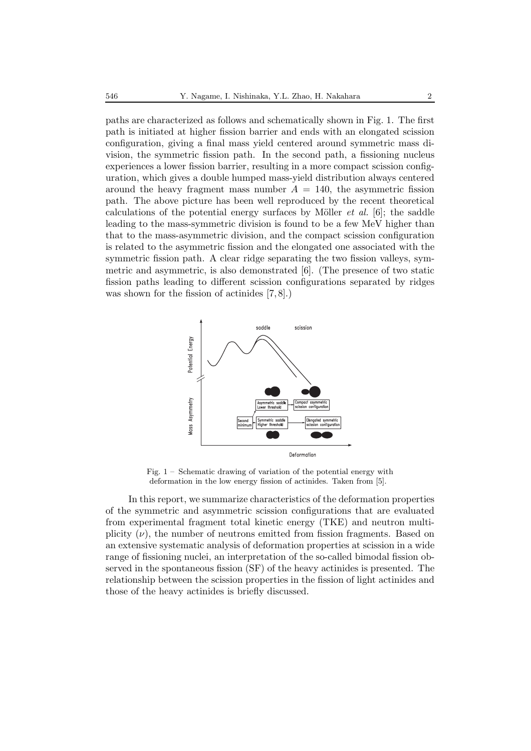paths are characterized as follows and schematically shown in Fig. 1. The first path is initiated at higher fission barrier and ends with an elongated scission configuration, giving a final mass yield centered around symmetric mass division, the symmetric fission path. In the second path, a fissioning nucleus experiences a lower fission barrier, resulting in a more compact scission configuration, which gives a double humped mass-yield distribution always centered around the heavy fragment mass number  $A = 140$ , the asymmetric fission path. The above picture has been well reproduced by the recent theoretical calculations of the potential energy surfaces by Möller *et al.* [6]; the saddle leading to the mass-symmetric division is found to be a few MeV higher than that to the mass-asymmetric division, and the compact scission configuration is related to the asymmetric fission and the elongated one associated with the symmetric fission path. A clear ridge separating the two fission valleys, symmetric and asymmetric, is also demonstrated [6]. (The presence of two static fission paths leading to different scission configurations separated by ridges was shown for the fission of actinides [7, 8].)



Fig. 1 – Schematic drawing of variation of the potential energy with deformation in the low energy fission of actinides. Taken from [5].

In this report, we summarize characteristics of the deformation properties of the symmetric and asymmetric scission configurations that are evaluated from experimental fragment total kinetic energy (TKE) and neutron multiplicity  $(\nu)$ , the number of neutrons emitted from fission fragments. Based on an extensive systematic analysis of deformation properties at scission in a wide range of fissioning nuclei, an interpretation of the so-called bimodal fission observed in the spontaneous fission (SF) of the heavy actinides is presented. The relationship between the scission properties in the fission of light actinides and those of the heavy actinides is briefly discussed.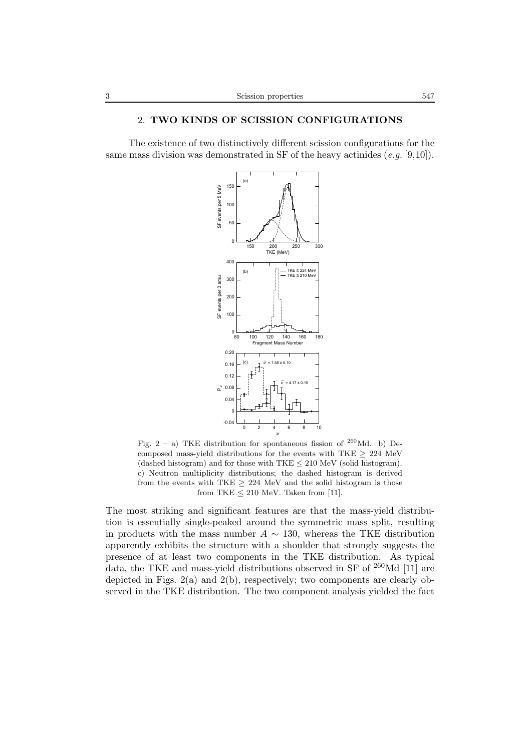## 2. **TWO KINDS OF SCISSION CONFIGURATIONS**

The existence of two distinctively different scission configurations for the same mass division was demonstrated in SF of the heavy actinides (*e.g.* [9,10]).



Fig.  $2 - a$ ) TKE distribution for spontaneous fission of <sup>260</sup>Md. b) Decomposed mass-yield distributions for the events with TKE  $\geq 224$  MeV (dashed histogram) and for those with  $TKE \leq 210 \text{ MeV}$  (solid histogram). c) Neutron multiplicity distributions; the dashed histogram is derived from the events with TKE  $\geq$  224 MeV and the solid histogram is those from TKE  $\leq 210$  MeV. Taken from [11].

The most striking and significant features are that the mass-yield distribution is essentially single-peaked around the symmetric mass split, resulting in products with the mass number  $A \sim 130$ , whereas the TKE distribution apparently exhibits the structure with a shoulder that strongly suggests the presence of at least two components in the TKE distribution. As typical data, the TKE and mass-yield distributions observed in SF of <sup>260</sup>Md [11] are depicted in Figs. 2(a) and 2(b), respectively; two components are clearly observed in the TKE distribution. The two component analysis yielded the fact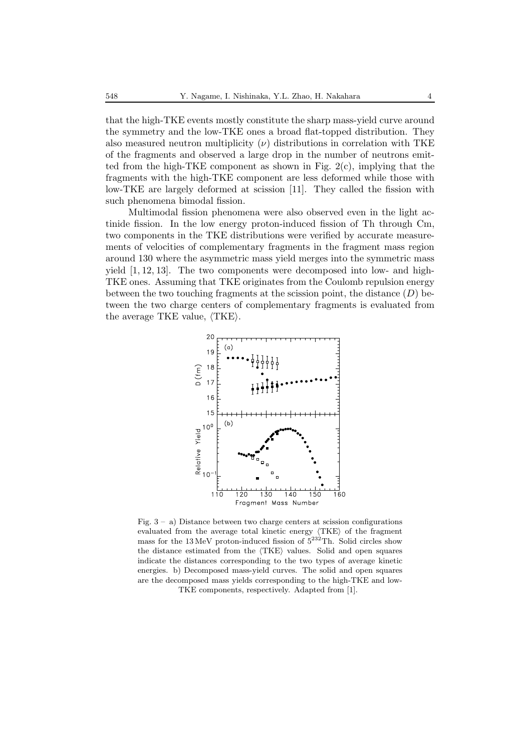that the high-TKE events mostly constitute the sharp mass-yield curve around the symmetry and the low-TKE ones a broad flat-topped distribution. They also measured neutron multiplicity  $(\nu)$  distributions in correlation with TKE of the fragments and observed a large drop in the number of neutrons emitted from the high-TKE component as shown in Fig.  $2(c)$ , implying that the fragments with the high-TKE component are less deformed while those with low-TKE are largely deformed at scission [11]. They called the fission with such phenomena bimodal fission.

Multimodal fission phenomena were also observed even in the light actinide fission. In the low energy proton-induced fission of Th through Cm, two components in the TKE distributions were verified by accurate measurements of velocities of complementary fragments in the fragment mass region around 130 where the asymmetric mass yield merges into the symmetric mass yield [1, 12, 13]. The two components were decomposed into low- and high-TKE ones. Assuming that TKE originates from the Coulomb repulsion energy between the two touching fragments at the scission point, the distance  $(D)$  between the two charge centers of complementary fragments is evaluated from the average TKE value,  $\langle$ TKE $\rangle$ .



Fig.  $3 - a$ ) Distance between two charge centers at scission configurations evaluated from the average total kinetic energy  $\langle TKE \rangle$  of the fragment mass for the 13 MeV proton-induced fission of  $5^{232}$ Th. Solid circles show the distance estimated from the  $\langle TKE \rangle$  values. Solid and open squares indicate the distances corresponding to the two types of average kinetic energies. b) Decomposed mass-yield curves. The solid and open squares are the decomposed mass yields corresponding to the high-TKE and low-TKE components, respectively. Adapted from [1].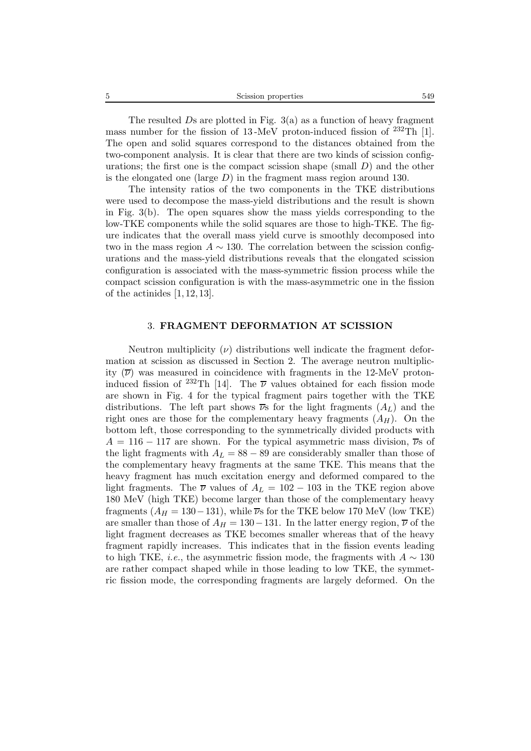| Scission properties | 549 |
|---------------------|-----|
|                     |     |

The resulted  $Ds$  are plotted in Fig. 3(a) as a function of heavy fragment mass number for the fission of 13-MeV proton-induced fission of  $^{232}$ Th [1]. The open and solid squares correspond to the distances obtained from the two-component analysis. It is clear that there are two kinds of scission configurations; the first one is the compact scission shape (small  $D$ ) and the other is the elongated one (large  $D$ ) in the fragment mass region around 130.

The intensity ratios of the two components in the TKE distributions were used to decompose the mass-yield distributions and the result is shown in Fig. 3(b). The open squares show the mass yields corresponding to the low-TKE components while the solid squares are those to high-TKE. The figure indicates that the overall mass yield curve is smoothly decomposed into two in the mass region  $A \sim 130$ . The correlation between the scission configurations and the mass-yield distributions reveals that the elongated scission configuration is associated with the mass-symmetric fission process while the compact scission configuration is with the mass-asymmetric one in the fission of the actinides [1, 12, 13].

## 3. **FRAGMENT DEFORMATION AT SCISSION**

Neutron multiplicity  $(\nu)$  distributions well indicate the fragment deformation at scission as discussed in Section 2. The average neutron multiplicity  $(\overline{\nu})$  was measured in coincidence with fragments in the 12-MeV protoninduced fission of <sup>232</sup>Th [14]. The  $\overline{\nu}$  values obtained for each fission mode are shown in Fig. 4 for the typical fragment pairs together with the TKE distributions. The left part shows  $\overline{\nu}s$  for the light fragments  $(A_L)$  and the right ones are those for the complementary heavy fragments  $(A_H)$ . On the bottom left, those corresponding to the symmetrically divided products with  $A = 116 - 117$  are shown. For the typical asymmetric mass division,  $\overline{\nu}$ s of the light fragments with  $A_L = 88 - 89$  are considerably smaller than those of the complementary heavy fragments at the same TKE. This means that the heavy fragment has much excitation energy and deformed compared to the light fragments. The  $\overline{\nu}$  values of  $A_L = 102 - 103$  in the TKE region above 180 MeV (high TKE) become larger than those of the complementary heavy fragments  $(A_H = 130 - 131)$ , while  $\overline{\nu}$ s for the TKE below 170 MeV (low TKE) are smaller than those of  $A_H = 130 - 131$ . In the latter energy region,  $\overline{\nu}$  of the light fragment decreases as TKE becomes smaller whereas that of the heavy fragment rapidly increases. This indicates that in the fission events leading to high TKE, *i.e.*, the asymmetric fission mode, the fragments with  $A \sim 130$ are rather compact shaped while in those leading to low TKE, the symmetric fission mode, the corresponding fragments are largely deformed. On the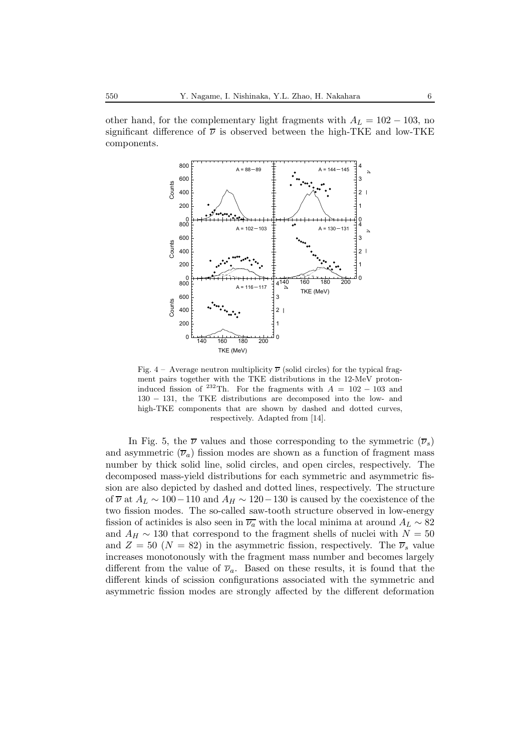other hand, for the complementary light fragments with  $A_L = 102 - 103$ , no significant difference of  $\bar{\nu}$  is observed between the high-TKE and low-TKE components.



Fig. 4 – Average neutron multiplicity  $\overline{\nu}$  (solid circles) for the typical fragment pairs together with the TKE distributions in the 12-MeV protoninduced fission of <sup>232</sup>Th. For the fragments with  $A = 102 - 103$  and 130 − 131, the TKE distributions are decomposed into the low- and high-TKE components that are shown by dashed and dotted curves, respectively. Adapted from [14].

In Fig. 5, the  $\overline{\nu}$  values and those corresponding to the symmetric  $(\overline{\nu}_s)$ and asymmetric  $(\overline{\nu}_a)$  fission modes are shown as a function of fragment mass number by thick solid line, solid circles, and open circles, respectively. The decomposed mass-yield distributions for each symmetric and asymmetric fission are also depicted by dashed and dotted lines, respectively. The structure of  $\overline{\nu}$  at  $A_L \sim 100-110$  and  $A_H \sim 120-130$  is caused by the coexistence of the two fission modes. The so-called saw-tooth structure observed in low-energy fission of actinides is also seen in  $\overline{\nu_a}$  with the local minima at around  $A_L \sim 82$ and  $A_H \sim 130$  that correspond to the fragment shells of nuclei with  $N = 50$ and  $Z = 50$  ( $N = 82$ ) in the asymmetric fission, respectively. The  $\overline{\nu}_s$  value increases monotonously with the fragment mass number and becomes largely different from the value of  $\overline{\nu}_a$ . Based on these results, it is found that the different kinds of scission configurations associated with the symmetric and asymmetric fission modes are strongly affected by the different deformation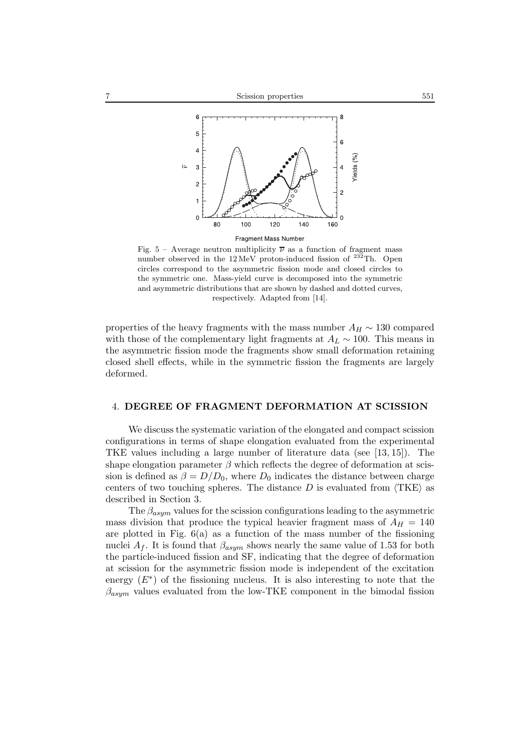

Fig. 5 – Average neutron multiplicity  $\overline{\nu}$  as a function of fragment mass number observed in the  $12 \,\mathrm{MeV}$  proton-induced fission of  $^{232}\mathrm{Th}$ . Open circles correspond to the asymmetric fission mode and closed circles to the symmetric one. Mass-yield curve is decomposed into the symmetric and asymmetric distributions that are shown by dashed and dotted curves, respectively. Adapted from [14].

properties of the heavy fragments with the mass number  $A_H \sim 130$  compared with those of the complementary light fragments at  $A_L \sim 100$ . This means in the asymmetric fission mode the fragments show small deformation retaining closed shell effects, while in the symmetric fission the fragments are largely deformed.

#### 4. **DEGREE OF FRAGMENT DEFORMATION AT SCISSION**

We discuss the systematic variation of the elongated and compact scission configurations in terms of shape elongation evaluated from the experimental TKE values including a large number of literature data (see [13, 15]). The shape elongation parameter  $\beta$  which reflects the degree of deformation at scission is defined as  $\beta = D/D_0$ , where  $D_0$  indicates the distance between charge centers of two touching spheres. The distance  $D$  is evaluated from  $\langle$ TKE $\rangle$  as described in Section 3.

The  $\beta_{asym}$  values for the scission configurations leading to the asymmetric mass division that produce the typical heavier fragment mass of  $A_H = 140$ are plotted in Fig. 6(a) as a function of the mass number of the fissioning nuclei  $A_f$ . It is found that  $\beta_{asym}$  shows nearly the same value of 1.53 for both the particle-induced fission and SF, indicating that the degree of deformation at scission for the asymmetric fission mode is independent of the excitation energy  $(E^*)$  of the fissioning nucleus. It is also interesting to note that the  $\beta_{asym}$  values evaluated from the low-TKE component in the bimodal fission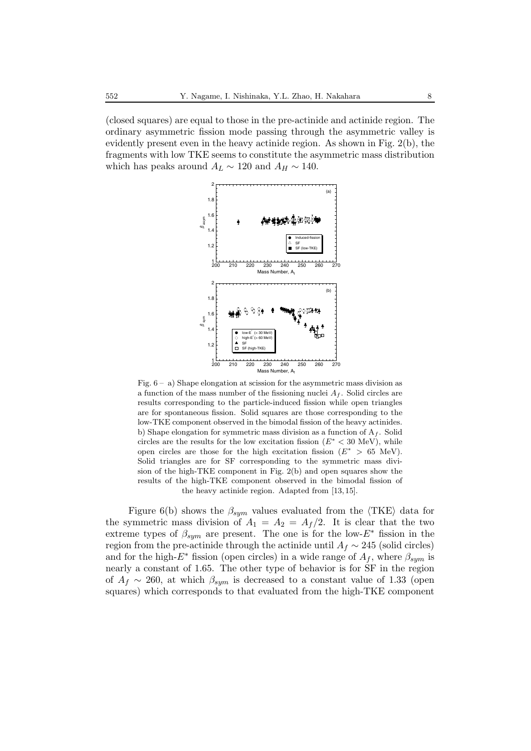(closed squares) are equal to those in the pre-actinide and actinide region. The ordinary asymmetric fission mode passing through the asymmetric valley is evidently present even in the heavy actinide region. As shown in Fig. 2(b), the fragments with low TKE seems to constitute the asymmetric mass distribution which has peaks around  $A_L \sim 120$  and  $A_H \sim 140$ .



Fig.  $6 - a$ ) Shape elongation at scission for the asymmetric mass division as a function of the mass number of the fissioning nuclei A*<sup>f</sup>* . Solid circles are results corresponding to the particle-induced fission while open triangles are for spontaneous fission. Solid squares are those corresponding to the low-TKE component observed in the bimodal fission of the heavy actinides. b) Shape elongation for symmetric mass division as a function of A*<sup>f</sup>* . Solid circles are the results for the low excitation fission  $(E^* < 30 \text{ MeV})$ , while open circles are those for the high excitation fission ( $E^* > 65$  MeV). Solid triangles are for SF corresponding to the symmetric mass division of the high-TKE component in Fig. 2(b) and open squares show the results of the high-TKE component observed in the bimodal fission of the heavy actinide region. Adapted from [13, 15].

Figure 6(b) shows the  $\beta_{sym}$  values evaluated from the  $\langle \text{TKE} \rangle$  data for the symmetric mass division of  $A_1 = A_2 = A_f/2$ . It is clear that the two extreme types of  $\beta_{sym}$  are present. The one is for the low- $E^*$  fission in the region from the pre-actinide through the actinide until  $A_f \sim 245$  (solid circles) and for the high- $E^*$  fission (open circles) in a wide range of  $A_f$ , where  $\beta_{sym}$  is nearly a constant of 1.65. The other type of behavior is for SF in the region of  $A_f \sim 260$ , at which  $\beta_{sym}$  is decreased to a constant value of 1.33 (open squares) which corresponds to that evaluated from the high-TKE component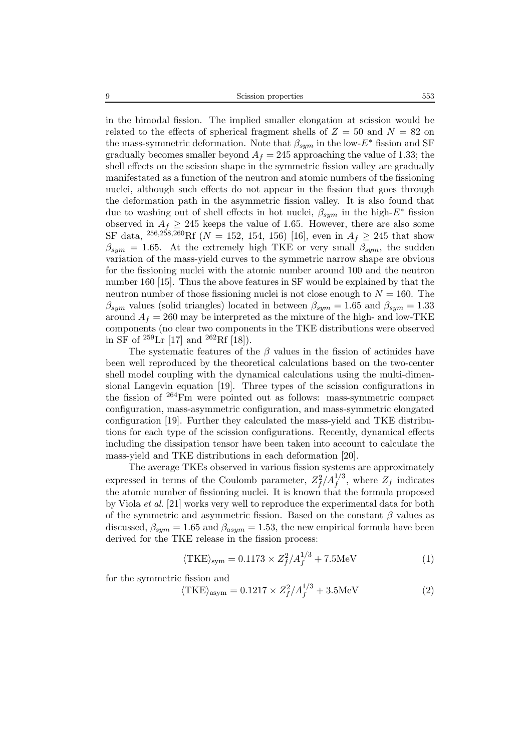9 Scission properties 553

in the bimodal fission. The implied smaller elongation at scission would be related to the effects of spherical fragment shells of  $Z = 50$  and  $N = 82$  on the mass-symmetric deformation. Note that  $\beta_{sym}$  in the low- $E^*$  fission and SF gradually becomes smaller beyond  $A_f = 245$  approaching the value of 1.33; the shell effects on the scission shape in the symmetric fission valley are gradually manifestated as a function of the neutron and atomic numbers of the fissioning nuclei, although such effects do not appear in the fission that goes through the deformation path in the asymmetric fission valley. It is also found that due to washing out of shell effects in hot nuclei, β*sym* in the high-E<sup>∗</sup> fission observed in  $A_f \geq 245$  keeps the value of 1.65. However, there are also some SF data, <sup>256,258,260</sup>Rf ( $N = 152$ , 154, 156) [16], even in  $A_f \ge 245$  that show  $\beta_{sym} = 1.65$ . At the extremely high TKE or very small  $\beta_{sym}$ , the sudden variation of the mass-yield curves to the symmetric narrow shape are obvious for the fissioning nuclei with the atomic number around 100 and the neutron number 160 [15]. Thus the above features in SF would be explained by that the neutron number of those fissioning nuclei is not close enough to  $N = 160$ . The  $\beta_{sym}$  values (solid triangles) located in between  $\beta_{sym} = 1.65$  and  $\beta_{sym} = 1.33$ around  $A_f = 260$  may be interpreted as the mixture of the high- and low-TKE components (no clear two components in the TKE distributions were observed in SF of  ${}^{259}\text{Lr}$  [17] and  ${}^{262}\text{Rf}$  [18]).

The systematic features of the  $\beta$  values in the fission of actinides have been well reproduced by the theoretical calculations based on the two-center shell model coupling with the dynamical calculations using the multi-dimensional Langevin equation [19]. Three types of the scission configurations in the fission of <sup>264</sup>Fm were pointed out as follows: mass-symmetric compact configuration, mass-asymmetric configuration, and mass-symmetric elongated configuration [19]. Further they calculated the mass-yield and TKE distributions for each type of the scission configurations. Recently, dynamical effects including the dissipation tensor have been taken into account to calculate the mass-yield and TKE distributions in each deformation [20].

The average TKEs observed in various fission systems are approximately expressed in terms of the Coulomb parameter,  $Z_f^2/A_f^{1/3}$ , where  $Z_f$  indicates the atomic number of fissioning nuclei. It is known that the formula proposed by Viola *et al.* [21] works very well to reproduce the experimental data for both of the symmetric and asymmetric fission. Based on the constant  $\beta$  values as discussed,  $\beta_{sym} = 1.65$  and  $\beta_{asym} = 1.53$ , the new empirical formula have been derived for the TKE release in the fission process:

$$
\langle \text{TKE} \rangle_{\text{sym}} = 0.1173 \times Z_f^2 / A_f^{1/3} + 7.5 \text{MeV} \tag{1}
$$

for the symmetric fission and

$$
\langle \text{TKE} \rangle_{\text{asym}} = 0.1217 \times Z_f^2 / A_f^{1/3} + 3.5 \text{MeV} \tag{2}
$$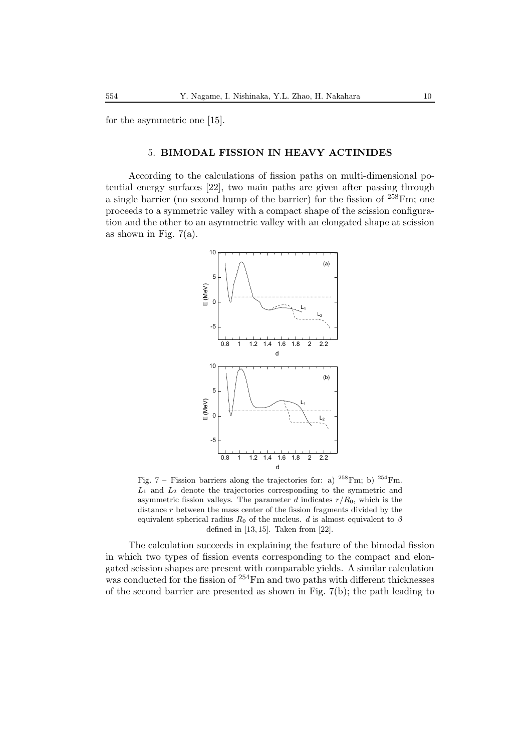for the asymmetric one [15].

## 5. **BIMODAL FISSION IN HEAVY ACTINIDES**

According to the calculations of fission paths on multi-dimensional potential energy surfaces [22], two main paths are given after passing through a single barrier (no second hump of the barrier) for the fission of  $258 \text{Fm}$ ; one proceeds to a symmetric valley with a compact shape of the scission configuration and the other to an asymmetric valley with an elongated shape at scission as shown in Fig.  $7(a)$ .



Fig. 7 – Fission barriers along the trajectories for: a)  $^{258}$ Fm; b)  $^{254}$ Fm.  $L_1$  and  $L_2$  denote the trajectories corresponding to the symmetric and asymmetric fission valleys. The parameter d indicates  $r/R_0$ , which is the distance  $r$  between the mass center of the fission fragments divided by the equivalent spherical radius  $R_0$  of the nucleus. d is almost equivalent to  $\beta$ defined in [13, 15]. Taken from [22].

The calculation succeeds in explaining the feature of the bimodal fission in which two types of fission events corresponding to the compact and elongated scission shapes are present with comparable yields. A similar calculation was conducted for the fission of <sup>254</sup>Fm and two paths with different thicknesses of the second barrier are presented as shown in Fig. 7(b); the path leading to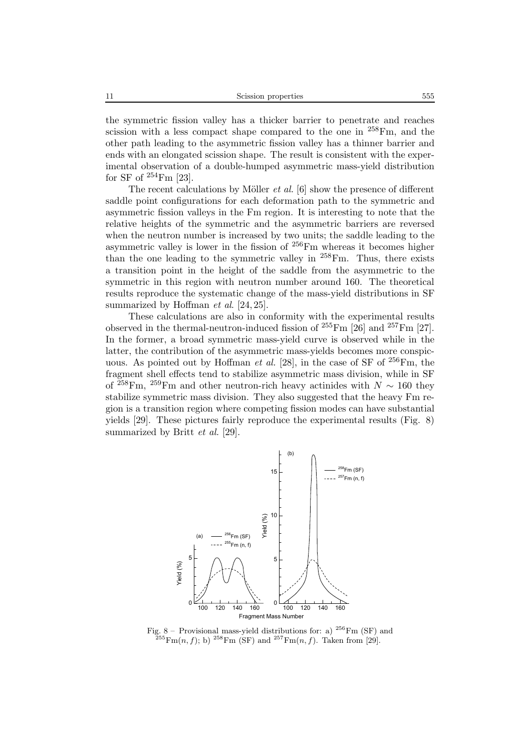the symmetric fission valley has a thicker barrier to penetrate and reaches scission with a less compact shape compared to the one in  $^{258}$ Fm, and the other path leading to the asymmetric fission valley has a thinner barrier and ends with an elongated scission shape. The result is consistent with the experimental observation of a double-humped asymmetric mass-yield distribution for SF of  $254$ Fm [23].

The recent calculations by Möller  $et$   $al$ . [6] show the presence of different saddle point configurations for each deformation path to the symmetric and asymmetric fission valleys in the Fm region. It is interesting to note that the relative heights of the symmetric and the asymmetric barriers are reversed when the neutron number is increased by two units; the saddle leading to the asymmetric valley is lower in the fission of  $256$ Fm whereas it becomes higher than the one leading to the symmetric valley in  $258$  Fm. Thus, there exists a transition point in the height of the saddle from the asymmetric to the symmetric in this region with neutron number around 160. The theoretical results reproduce the systematic change of the mass-yield distributions in SF summarized by Hoffman *et al*. [24, 25].

These calculations are also in conformity with the experimental results observed in the thermal-neutron-induced fission of  $^{255}$ Fm [26] and  $^{257}$ Fm [27]. In the former, a broad symmetric mass-yield curve is observed while in the latter, the contribution of the asymmetric mass-yields becomes more conspicuous. As pointed out by Hoffman *et al.* [28], in the case of SF of <sup>256</sup>Fm, the fragment shell effects tend to stabilize asymmetric mass division, while in SF of <sup>258</sup>Fm, <sup>259</sup>Fm and other neutron-rich heavy actinides with  $N \sim 160$  they stabilize symmetric mass division. They also suggested that the heavy Fm region is a transition region where competing fission modes can have substantial yields [29]. These pictures fairly reproduce the experimental results (Fig. 8) summarized by Britt *et al.* [29].



Fig. 8 – Provisional mass-yield distributions for: a)  $^{256}\text{Fm}$  (SF) and  $^{255}Fm(n, f)$ ; b)  $^{258}Fm$  (SF) and  $^{257}Fm(n, f)$ . Taken from [29].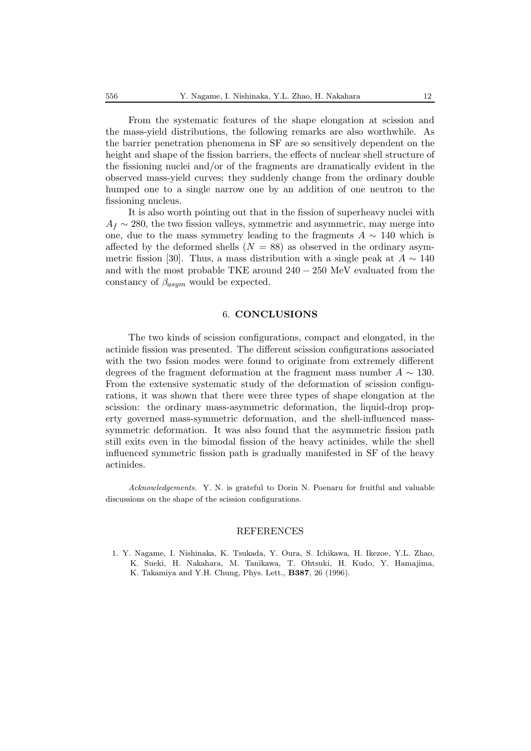From the systematic features of the shape elongation at scission and the mass-yield distributions, the following remarks are also worthwhile. As the barrier penetration phenomena in SF are so sensitively dependent on the height and shape of the fission barriers, the effects of nuclear shell structure of the fissioning nuclei and/or of the fragments are dramatically evident in the observed mass-yield curves; they suddenly change from the ordinary double humped one to a single narrow one by an addition of one neutron to the fissioning nucleus.

It is also worth pointing out that in the fission of superheavy nuclei with  $A_f \sim 280$ , the two fission valleys, symmetric and asymmetric, may merge into one, due to the mass symmetry leading to the fragments  $A \sim 140$  which is affected by the deformed shells  $(N = 88)$  as observed in the ordinary asymmetric fission [30]. Thus, a mass distribution with a single peak at  $A \sim 140$ and with the most probable TKE around 240 − 250 MeV evaluated from the constancy of  $\beta_{asym}$  would be expected.

#### 6. **CONCLUSIONS**

The two kinds of scission configurations, compact and elongated, in the actinide fission was presented. The different scission configurations associated with the two fssion modes were found to originate from extremely different degrees of the fragment deformation at the fragment mass number  $A \sim 130$ . From the extensive systematic study of the deformation of scission configurations, it was shown that there were three types of shape elongation at the scission: the ordinary mass-asymmetric deformation, the liquid-drop property governed mass-symmetric deformation, and the shell-influenced masssymmetric deformation. It was also found that the asymmetric fission path still exits even in the bimodal fission of the heavy actinides, while the shell influenced symmetric fission path is gradually manifested in SF of the heavy actinides.

*Acknowledgements.* Y. N. is grateful to Dorin N. Poenaru for fruitful and valuable discussions on the shape of the scission configurations.

#### REFERENCES

1. Y. Nagame, I. Nishinaka, K. Tsukada, Y. Oura, S. Ichikawa, H. Ikezoe, Y.L. Zhao, K. Sueki, H. Nakahara, M. Tanikawa, T. Ohtsuki, H. Kudo, Y. Hamajima, K. Takamiya and Y.H. Chung, Phys. Lett., **B387**, 26 (1996).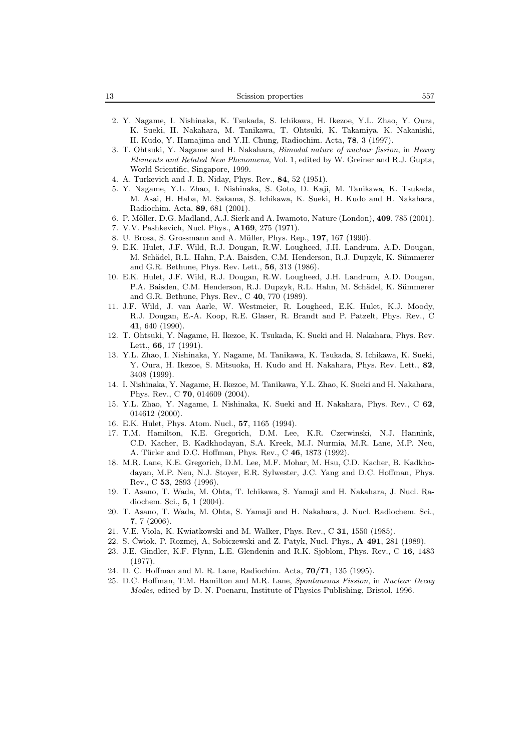| $\overline{\phantom{a}}$<br>L5. | Scission properties | 557 |
|---------------------------------|---------------------|-----|
|---------------------------------|---------------------|-----|

- 2. Y. Nagame, I. Nishinaka, K. Tsukada, S. Ichikawa, H. Ikezoe, Y.L. Zhao, Y. Oura, K. Sueki, H. Nakahara, M. Tanikawa, T. Ohtsuki, K. Takamiya. K. Nakanishi, H. Kudo, Y. Hamajima and Y.H. Chung, Radiochim. Acta, **78**, 3 (1997).
- 3. T. Ohtsuki, Y. Nagame and H. Nakahara, *Bimodal nature of nuclear fission*, in *Heavy Elements and Related New Phenomena*, Vol. 1, edited by W. Greiner and R.J. Gupta, World Scientific, Singapore, 1999.
- 4. A. Turkevich and J. B. Niday, Phys. Rev., **84**, 52 (1951).
- 5. Y. Nagame, Y.L. Zhao, I. Nishinaka, S. Goto, D. Kaji, M. Tanikawa, K. Tsukada, M. Asai, H. Haba, M. Sakama, S. Ichikawa, K. Sueki, H. Kudo and H. Nakahara, Radiochim. Acta, **89**, 681 (2001).
- 6. P. M¨oller, D.G. Madland, A.J. Sierk and A. Iwamoto, Nature (London), **409**, 785 (2001).
- 7. V.V. Pashkevich, Nucl. Phys., **A169**, 275 (1971).
- 8. U. Brosa, S. Grossmann and A. M¨uller, Phys. Rep., **197**, 167 (1990).
- 9. E.K. Hulet, J.F. Wild, R.J. Dougan, R.W. Lougheed, J.H. Landrum, A.D. Dougan, M. Schädel, R.L. Hahn, P.A. Baisden, C.M. Henderson, R.J. Dupzyk, K. Sümmerer and G.R. Bethune, Phys. Rev. Lett., **56**, 313 (1986).
- 10. E.K. Hulet, J.F. Wild, R.J. Dougan, R.W. Lougheed, J.H. Landrum, A.D. Dougan, P.A. Baisden, C.M. Henderson, R.J. Dupzyk, R.L. Hahn, M. Schädel, K. Sümmerer and G.R. Bethune, Phys. Rev., C **40**, 770 (1989).
- 11. J.F. Wild, J. van Aarle, W. Westmeier, R. Lougheed, E.K. Hulet, K.J. Moody, R.J. Dougan, E.-A. Koop, R.E. Glaser, R. Brandt and P. Patzelt, Phys. Rev., C **41**, 640 (1990).
- 12. T. Ohtsuki, Y. Nagame, H. Ikezoe, K. Tsukada, K. Sueki and H. Nakahara, Phys. Rev. Lett., **66**, 17 (1991).
- 13. Y.L. Zhao, I. Nishinaka, Y. Nagame, M. Tanikawa, K. Tsukada, S. Ichikawa, K. Sueki, Y. Oura, H. Ikezoe, S. Mitsuoka, H. Kudo and H. Nakahara, Phys. Rev. Lett., **82**, 3408 (1999).
- 14. I. Nishinaka, Y. Nagame, H. Ikezoe, M. Tanikawa, Y.L. Zhao, K. Sueki and H. Nakahara, Phys. Rev., C **70**, 014609 (2004).
- 15. Y.L. Zhao, Y. Nagame, I. Nishinaka, K. Sueki and H. Nakahara, Phys. Rev., C **62**, 014612 (2000).
- 16. E.K. Hulet, Phys. Atom. Nucl., **57**, 1165 (1994).
- 17. T.M. Hamilton, K.E. Gregorich, D.M. Lee, K.R. Czerwinski, N.J. Hannink, C.D. Kacher, B. Kadkhodayan, S.A. Kreek, M.J. Nurmia, M.R. Lane, M.P. Neu, A. Türler and D.C. Hoffman, Phys. Rev., C 46, 1873 (1992).
- 18. M.R. Lane, K.E. Gregorich, D.M. Lee, M.F. Mohar, M. Hsu, C.D. Kacher, B. Kadkhodayan, M.P. Neu, N.J. Stoyer, E.R. Sylwester, J.C. Yang and D.C. Hoffman, Phys. Rev., C **53**, 2893 (1996).
- 19. T. Asano, T. Wada, M. Ohta, T. Ichikawa, S. Yamaji and H. Nakahara, J. Nucl. Radiochem. Sci., **5**, 1 (2004).
- 20. T. Asano, T. Wada, M. Ohta, S. Yamaji and H. Nakahara, J. Nucl. Radiochem. Sci., **7**, 7 (2006).
- 21. V.E. Viola, K. Kwiatkowski and M. Walker, Phys. Rev., C **31**, 1550 (1985).
- 22. S. Cwiok, P. Rozmej, A, Sobiczewski and Z. Patyk, Nucl. Phys., ´ **A 491**, 281 (1989).
- 23. J.E. Gindler, K.F. Flynn, L.E. Glendenin and R.K. Sjoblom, Phys. Rev., C **16**, 1483 (1977).
- 24. D. C. Hoffman and M. R. Lane, Radiochim. Acta, **70/71**, 135 (1995).
- 25. D.C. Hoffman, T.M. Hamilton and M.R. Lane, *Spontaneous Fission*, in *Nuclear Decay Modes*, edited by D. N. Poenaru, Institute of Physics Publishing, Bristol, 1996.